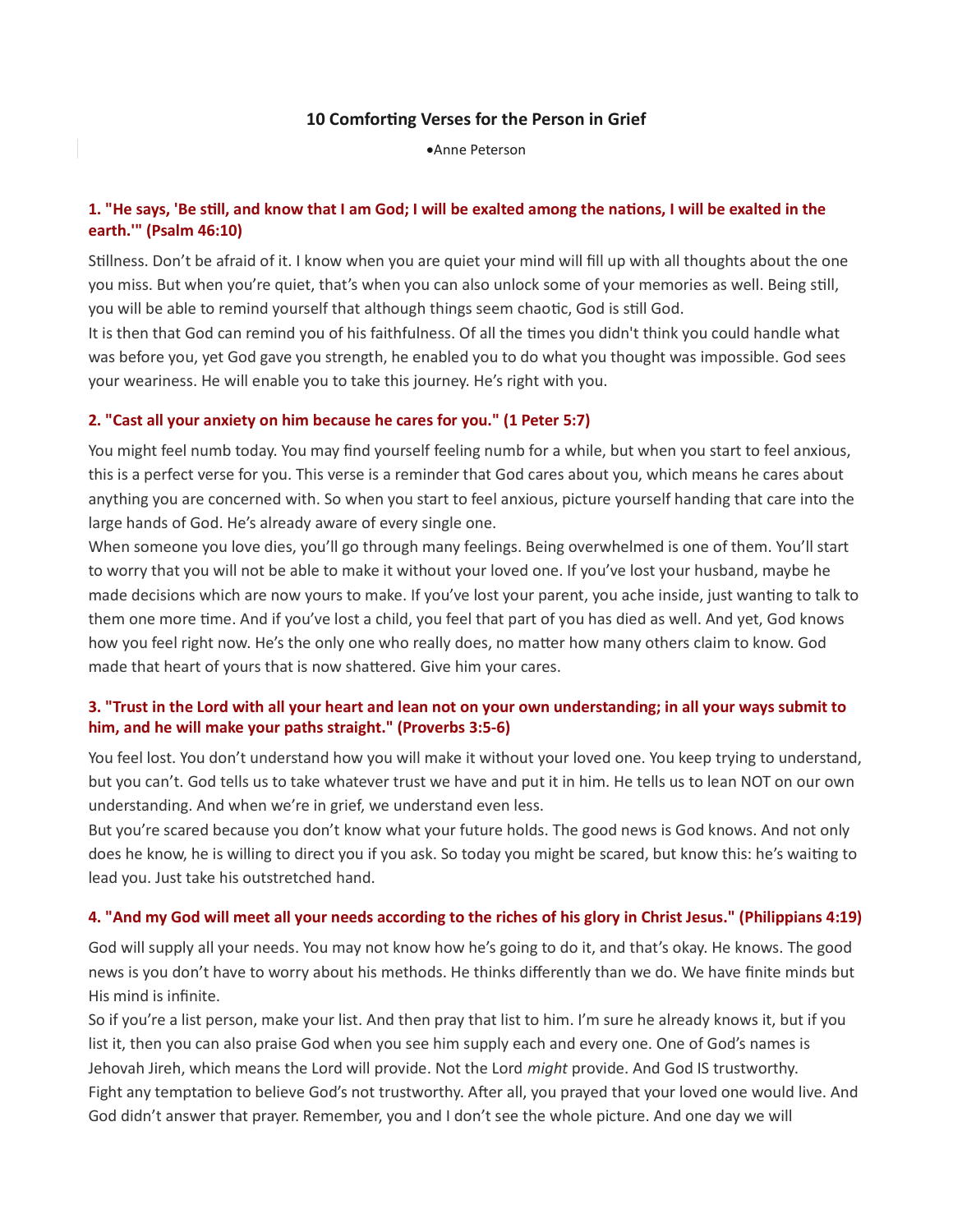#### 10 Comforting Verses for the Person in Grief

Anne Peterson

## 1. "He says, 'Be still, and know that I am God; I will be exalted among the nations, I will be exalted in the earth.'" (Psalm 46:10)

Stillness. Don't be afraid of it. I know when you are quiet your mind will fill up with all thoughts about the one you miss. But when you're quiet, that's when you can also unlock some of your memories as well. Being still, you will be able to remind yourself that although things seem chaotic, God is still God.

It is then that God can remind you of his faithfulness. Of all the times you didn't think you could handle what was before you, yet God gave you strength, he enabled you to do what you thought was impossible. God sees your weariness. He will enable you to take this journey. He's right with you.

#### 2. "Cast all your anxiety on him because he cares for you." (1 Peter 5:7)

You might feel numb today. You may find yourself feeling numb for a while, but when you start to feel anxious, this is a perfect verse for you. This verse is a reminder that God cares about you, which means he cares about anything you are concerned with. So when you start to feel anxious, picture yourself handing that care into the large hands of God. He's already aware of every single one.

When someone you love dies, you'll go through many feelings. Being overwhelmed is one of them. You'll start to worry that you will not be able to make it without your loved one. If you've lost your husband, maybe he made decisions which are now yours to make. If you've lost your parent, you ache inside, just wanting to talk to them one more time. And if you've lost a child, you feel that part of you has died as well. And yet, God knows how you feel right now. He's the only one who really does, no matter how many others claim to know. God made that heart of yours that is now shattered. Give him your cares.

# 3. "Trust in the Lord with all your heart and lean not on your own understanding; in all your ways submit to him, and he will make your paths straight." (Proverbs 3:5-6)

You feel lost. You don't understand how you will make it without your loved one. You keep trying to understand, but you can't. God tells us to take whatever trust we have and put it in him. He tells us to lean NOT on our own understanding. And when we're in grief, we understand even less.

But you're scared because you don't know what your future holds. The good news is God knows. And not only does he know, he is willing to direct you if you ask. So today you might be scared, but know this: he's waiting to lead you. Just take his outstretched hand.

#### 4. "And my God will meet all your needs according to the riches of his glory in Christ Jesus." (Philippians 4:19)

God will supply all your needs. You may not know how he's going to do it, and that's okay. He knows. The good news is you don't have to worry about his methods. He thinks differently than we do. We have finite minds but His mind is infinite.

So if you're a list person, make your list. And then pray that list to him. I'm sure he already knows it, but if you list it, then you can also praise God when you see him supply each and every one. One of God's names is Jehovah Jireh, which means the Lord will provide. Not the Lord might provide. And God IS trustworthy. Fight any temptation to believe God's not trustworthy. After all, you prayed that your loved one would live. And God didn't answer that prayer. Remember, you and I don't see the whole picture. And one day we will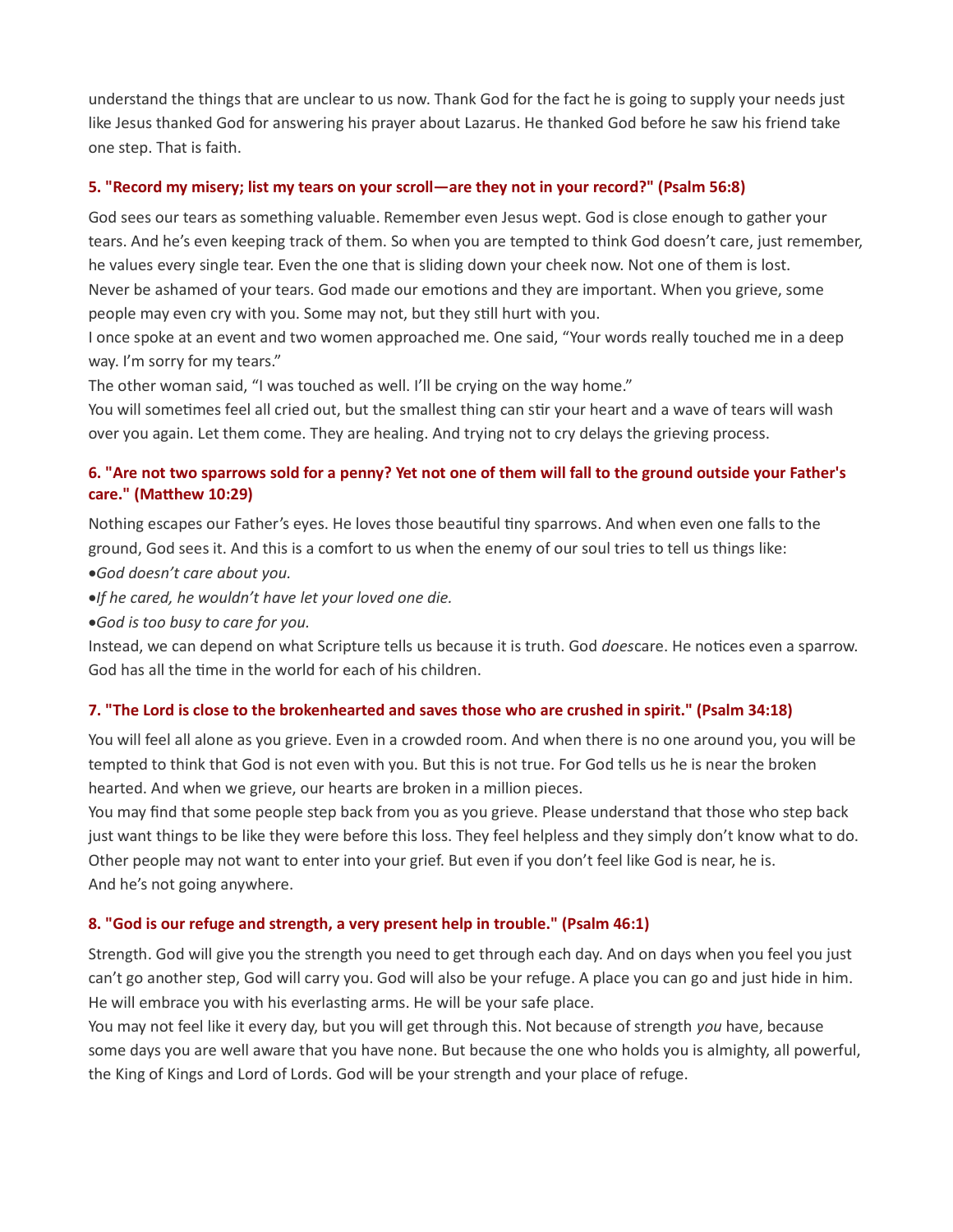understand the things that are unclear to us now. Thank God for the fact he is going to supply your needs just like Jesus thanked God for answering his prayer about Lazarus. He thanked God before he saw his friend take one step. That is faith.

### 5. "Record my misery; list my tears on your scroll—are they not in your record?" (Psalm 56:8)

God sees our tears as something valuable. Remember even Jesus wept. God is close enough to gather your tears. And he's even keeping track of them. So when you are tempted to think God doesn't care, just remember, he values every single tear. Even the one that is sliding down your cheek now. Not one of them is lost. Never be ashamed of your tears. God made our emotions and they are important. When you grieve, some people may even cry with you. Some may not, but they still hurt with you.

I once spoke at an event and two women approached me. One said, "Your words really touched me in a deep way. I'm sorry for my tears."

The other woman said, "I was touched as well. I'll be crying on the way home."

You will sometimes feel all cried out, but the smallest thing can stir your heart and a wave of tears will wash over you again. Let them come. They are healing. And trying not to cry delays the grieving process.

# 6. "Are not two sparrows sold for a penny? Yet not one of them will fall to the ground outside your Father's care." (Matthew 10:29)

Nothing escapes our Father's eyes. He loves those beautiful tiny sparrows. And when even one falls to the ground, God sees it. And this is a comfort to us when the enemy of our soul tries to tell us things like:

God doesn't care about you.

.If he cared, he wouldn't have let your loved one die.

God is too busy to care for you.

Instead, we can depend on what Scripture tells us because it is truth. God doescare. He notices even a sparrow. God has all the time in the world for each of his children.

# 7. "The Lord is close to the brokenhearted and saves those who are crushed in spirit." (Psalm 34:18)

You will feel all alone as you grieve. Even in a crowded room. And when there is no one around you, you will be tempted to think that God is not even with you. But this is not true. For God tells us he is near the broken hearted. And when we grieve, our hearts are broken in a million pieces.

You may find that some people step back from you as you grieve. Please understand that those who step back just want things to be like they were before this loss. They feel helpless and they simply don't know what to do. Other people may not want to enter into your grief. But even if you don't feel like God is near, he is. And he's not going anywhere.

# 8. "God is our refuge and strength, a very present help in trouble." (Psalm 46:1)

Strength. God will give you the strength you need to get through each day. And on days when you feel you just can't go another step, God will carry you. God will also be your refuge. A place you can go and just hide in him. He will embrace you with his everlasting arms. He will be your safe place.

You may not feel like it every day, but you will get through this. Not because of strength you have, because some days you are well aware that you have none. But because the one who holds you is almighty, all powerful, the King of Kings and Lord of Lords. God will be your strength and your place of refuge.